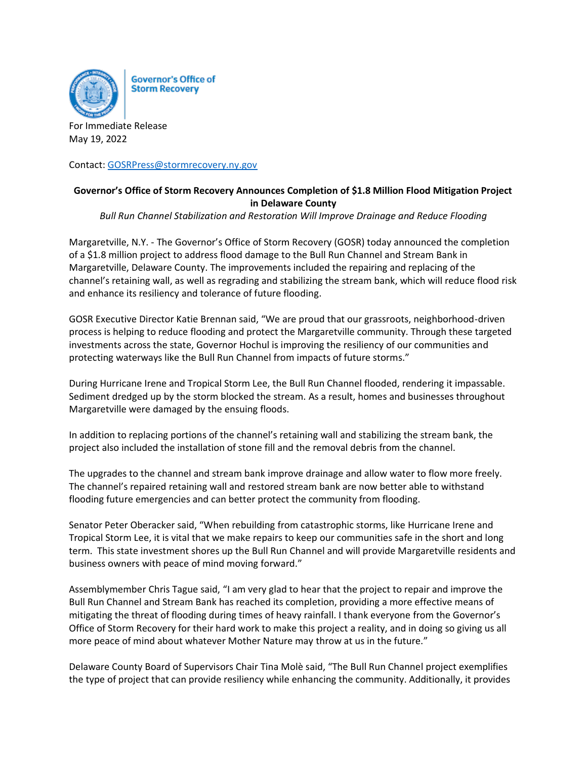

**Governor's Office of Storm Recovery** 

For Immediate Release May 19, 2022

Contact: [GOSRPress@stormrecovery.ny.gov](mailto:GOSRPress@stormrecovery.ny.gov)

## **Governor's Office of Storm Recovery Announces Completion of \$1.8 Million Flood Mitigation Project in Delaware County**

*Bull Run Channel Stabilization and Restoration Will Improve Drainage and Reduce Flooding*

Margaretville, N.Y. - The Governor's Office of Storm Recovery (GOSR) today announced the completion of a \$1.8 million project to address flood damage to the Bull Run Channel and Stream Bank in Margaretville, Delaware County. The improvements included the repairing and replacing of the channel's retaining wall, as well as regrading and stabilizing the stream bank, which will reduce flood risk and enhance its resiliency and tolerance of future flooding.

GOSR Executive Director Katie Brennan said, "We are proud that our grassroots, neighborhood-driven process is helping to reduce flooding and protect the Margaretville community. Through these targeted investments across the state, Governor Hochul is improving the resiliency of our communities and protecting waterways like the Bull Run Channel from impacts of future storms."

During Hurricane Irene and Tropical Storm Lee, the Bull Run Channel flooded, rendering it impassable. Sediment dredged up by the storm blocked the stream. As a result, homes and businesses throughout Margaretville were damaged by the ensuing floods.

In addition to replacing portions of the channel's retaining wall and stabilizing the stream bank, the project also included the installation of stone fill and the removal debris from the channel.

The upgrades to the channel and stream bank improve drainage and allow water to flow more freely. The channel's repaired retaining wall and restored stream bank are now better able to withstand flooding future emergencies and can better protect the community from flooding.

Senator Peter Oberacker said, "When rebuilding from catastrophic storms, like Hurricane Irene and Tropical Storm Lee, it is vital that we make repairs to keep our communities safe in the short and long term. This state investment shores up the Bull Run Channel and will provide Margaretville residents and business owners with peace of mind moving forward."

Assemblymember Chris Tague said, "I am very glad to hear that the project to repair and improve the Bull Run Channel and Stream Bank has reached its completion, providing a more effective means of mitigating the threat of flooding during times of heavy rainfall. I thank everyone from the Governor's Office of Storm Recovery for their hard work to make this project a reality, and in doing so giving us all more peace of mind about whatever Mother Nature may throw at us in the future."

Delaware County Board of Supervisors Chair Tina Molè said, "The Bull Run Channel project exemplifies the type of project that can provide resiliency while enhancing the community. Additionally, it provides